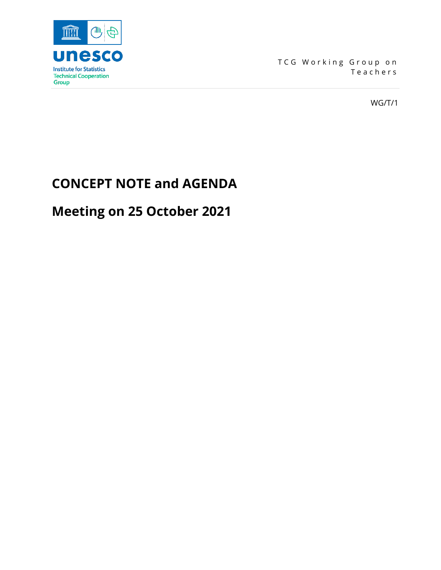

TCG Working Group on Teachers

WG/T/1

# **CONCEPT NOTE and AGENDA**

# **Meeting on 25 October 2021**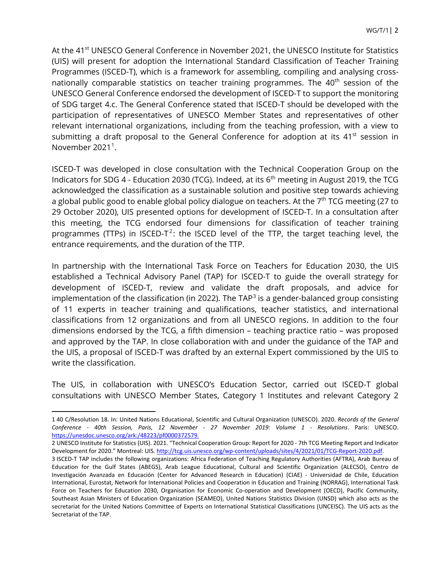At the 41<sup>st</sup> UNESCO General Conference in November 2021, the UNESCO Institute for Statistics (UIS) will present for adoption the International Standard Classification of Teacher Training Programmes (ISCED-T), which is a framework for assembling, compiling and analysing crossnationally comparable statistics on teacher training programmes. The  $40<sup>th</sup>$  session of the UNESCO General Conference endorsed the development of ISCED-T to support the monitoring of SDG target 4.c. The General Conference stated that ISCED-T should be developed with the participation of representatives of UNESCO Member States and representatives of other relevant international organizations, including from the teaching profession, with a view to submitting a draft proposal to the General Conference for adoption at its 41<sup>st</sup> session in November 202[1](#page-1-0)<sup>1</sup>.

ISCED-T was developed in close consultation with the Technical Cooperation Group on the Indicators for SDG 4 - Education 2030 (TCG). Indeed, at its  $6<sup>th</sup>$  meeting in August 2019, the TCG acknowledged the classification as a sustainable solution and positive step towards achieving a global public good to enable global policy dialogue on teachers. At the  $7<sup>th</sup> TCG$  meeting (27 to 29 October 2020), UIS presented options for development of ISCED-T. In a consultation after this meeting, the TCG endorsed four dimensions for classification of teacher training programmes (TTPs) in ISCED-T<sup>[2](#page-1-1)</sup>: the ISCED level of the TTP, the target teaching level, the entrance requirements, and the duration of the TTP.

In partnership with the International Task Force on Teachers for Education 2030, the UIS established a Technical Advisory Panel (TAP) for ISCED-T to guide the overall strategy for development of ISCED-T, review and validate the draft proposals, and advice for implementation of the classification (in 2022). The TAP<sup>[3](#page-1-2)</sup> is a gender-balanced group consisting of 11 experts in teacher training and qualifications, teacher statistics, and international classifications from 12 organizations and from all UNESCO regions. In addition to the four dimensions endorsed by the TCG, a fifth dimension – teaching practice ratio – was proposed and approved by the TAP. In close collaboration with and under the guidance of the TAP and the UIS, a proposal of ISCED-T was drafted by an external Expert commissioned by the UIS to write the classification.

The UIS, in collaboration with UNESCO's Education Sector, carried out ISCED-T global consultations with UNESCO Member States, Category 1 Institutes and relevant Category 2

<span id="page-1-1"></span>2 UNESCO Institute for Statistics (UIS). 2021. "Technical Cooperation Group: Report for 2020 - 7th TCG Meeting Report and Indicator Development for 2020." Montreal: UIS[. http://tcg.uis.unesco.org/wp-content/uploads/sites/4/2021/01/TCG-Report-2020.pdf.](http://tcg.uis.unesco.org/wp-content/uploads/sites/4/2021/01/TCG-Report-2020.pdf)

<span id="page-1-0"></span><sup>1</sup> 40 C/Resolution 18. In: United Nations Educational, Scientific and Cultural Organization (UNESCO). 2020. *Records of the General Conference - 40th Session, Paris, 12 November - 27 November 2019: Volume 1 - Resolutions*. Paris: UNESCO. [https://unesdoc.unesco.org/ark:/48223/pf0000372579.](https://unesdoc.unesco.org/ark:/48223/pf0000372579)

<span id="page-1-2"></span><sup>3</sup> ISCED-T TAP includes the following organizations: Africa Federation of Teaching Regulatory Authorities (AFTRA), Arab Bureau of Education for the Gulf States (ABEGS), Arab League Educational, Cultural and Scientific Organization (ALECSO), Centro de Investigación Avanzada en Educación (Center for Advanced Research in Education) (CIAE) - Universidad de Chile, Education International, Eurostat, Network for International Policies and Cooperation in Education and Training (NORRAG), International Task Force on Teachers for Education 2030, Organisation for Economic Co-operation and Development (OECD), Pacific Community, Southeast Asian Ministers of Education Organization (SEAMEO), United Nations Statistics Division (UNSD) which also acts as the secretariat for the United Nations Committee of Experts on International Statistical Classifications (UNCEISC). The UIS acts as the Secretariat of the TAP.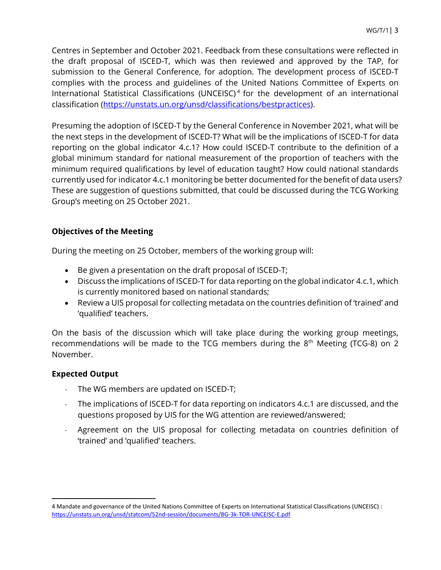Centres in September and October 2021. Feedback from these consultations were reflected in the draft proposal of ISCED-T, which was then reviewed and approved by the TAP, for submission to the General Conference, for adoption. The development process of ISCED-T complies with the process and guidelines of the United Nations Committee of Experts on International Statistical Classifications (UNCEISC) [4](#page-2-0) for the development of an international classification [\(https://unstats.un.org/unsd/classifications/bestpractices\)](https://unstats.un.org/unsd/classifications/bestpractices).

Presuming the adoption of ISCED-T by the General Conference in November 2021, what will be the next steps in the development of ISCED-T? What will be the implications of ISCED-T for data reporting on the global indicator 4.c.1? How could ISCED-T contribute to the definition of a global minimum standard for national measurement of the proportion of teachers with the minimum required qualifications by level of education taught? How could national standards currently used for indicator 4.c.1 monitoring be better documented for the benefit of data users? These are suggestion of questions submitted, that could be discussed during the TCG Working Group's meeting on 25 October 2021.

## **Objectives of the Meeting**

During the meeting on 25 October, members of the working group will:

- Be given a presentation on the draft proposal of ISCED-T;
- Discuss the implications of ISCED-T for data reporting on the global indicator 4.c.1, which is currently monitored based on national standards;
- Review a UIS proposal for collecting metadata on the countries definition of 'trained' and 'qualified' teachers.

On the basis of the discussion which will take place during the working group meetings, recommendations will be made to the TCG members during the  $8<sup>th</sup>$  Meeting (TCG-8) on 2 November.

## **Expected Output**

- The WG members are updated on ISCED-T;
- The implications of ISCED-T for data reporting on indicators 4.c.1 are discussed, and the questions proposed by UIS for the WG attention are reviewed/answered;
- Agreement on the UIS proposal for collecting metadata on countries definition of 'trained' and 'qualified' teachers.

<span id="page-2-0"></span><sup>4</sup> Mandate and governance of the United Nations Committee of Experts on International Statistical Classifications (UNCEISC) : <https://unstats.un.org/unsd/statcom/52nd-session/documents/BG-3k-TOR-UNCEISC-E.pdf>